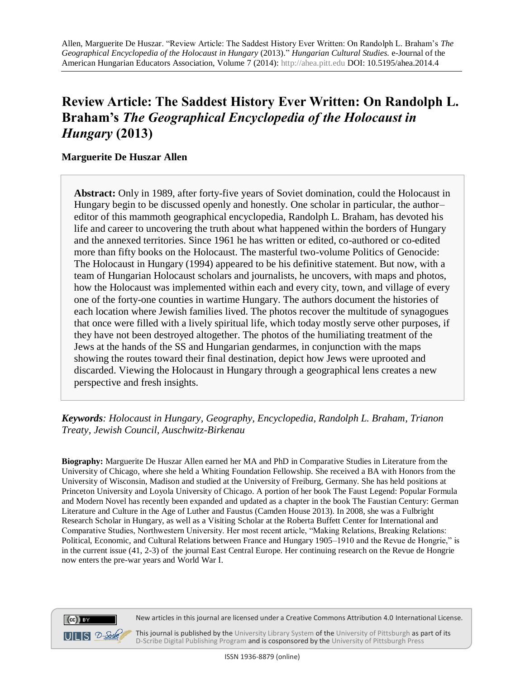# **Review Article: The Saddest History Ever Written: On Randolph L. Braham's** *The Geographical Encyclopedia of the Holocaust in Hungary* **(2013)**

## **Marguerite De Huszar Allen**

**Abstract:** Only in 1989, after forty-five years of Soviet domination, could the Holocaust in Hungary begin to be discussed openly and honestly. One scholar in particular, the author– editor of this mammoth geographical encyclopedia, Randolph L. Braham, has devoted his life and career to uncovering the truth about what happened within the borders of Hungary and the annexed territories. Since 1961 he has written or edited, co-authored or co-edited more than fifty books on the Holocaust. The masterful two-volume Politics of Genocide: The Holocaust in Hungary (1994) appeared to be his definitive statement. But now, with a team of Hungarian Holocaust scholars and journalists, he uncovers, with maps and photos, how the Holocaust was implemented within each and every city, town, and village of every one of the forty-one counties in wartime Hungary. The authors document the histories of each location where Jewish families lived. The photos recover the multitude of synagogues that once were filled with a lively spiritual life, which today mostly serve other purposes, if they have not been destroyed altogether. The photos of the humiliating treatment of the Jews at the hands of the SS and Hungarian gendarmes, in conjunction with the maps showing the routes toward their final destination, depict how Jews were uprooted and discarded. Viewing the Holocaust in Hungary through a geographical lens creates a new perspective and fresh insights.

*Keywords: Holocaust in Hungary, Geography, Encyclopedia, Randolph L. Braham, Trianon Treaty, Jewish Council, Auschwitz-Birkenau*

**Biography:** Marguerite De Huszar Allen earned her MA and PhD in Comparative Studies in Literature from the University of Chicago, where she held a Whiting Foundation Fellowship. She received a BA with Honors from the University of Wisconsin, Madison and studied at the University of Freiburg, Germany. She has held positions at Princeton University and Loyola University of Chicago. A portion of her book The Faust Legend: Popular Formula and Modern Novel has recently been expanded and updated as a chapter in the book The Faustian Century: German Literature and Culture in the Age of Luther and Faustus (Camden House 2013). In 2008, she was a Fulbright Research Scholar in Hungary, as well as a Visiting Scholar at the Roberta Buffett Center for International and Comparative Studies, Northwestern University. Her most recent article, "Making Relations, Breaking Relations: Political, Economic, and Cultural Relations between France and Hungary 1905–1910 and the Revue de Hongrie," is in the current issue (41, 2-3) of the journal East Central Europe. Her continuing research on the Revue de Hongrie now enters the pre-war years and World War I.



New articles in this journal are licensed under a Creative Commons Attribution 4.0 International License.

This journal is published by th[e University Library System](http://www.library.pitt.edu/) of th[e University of Pittsburgh](http://www.pitt.edu/) as part of its [D-Scribe Digital Publishing Program](http://www.library.pitt.edu/articles/digpubtype/index.html) and is cosponsored by the [University of Pittsburgh Press](http://upress.pitt.edu/)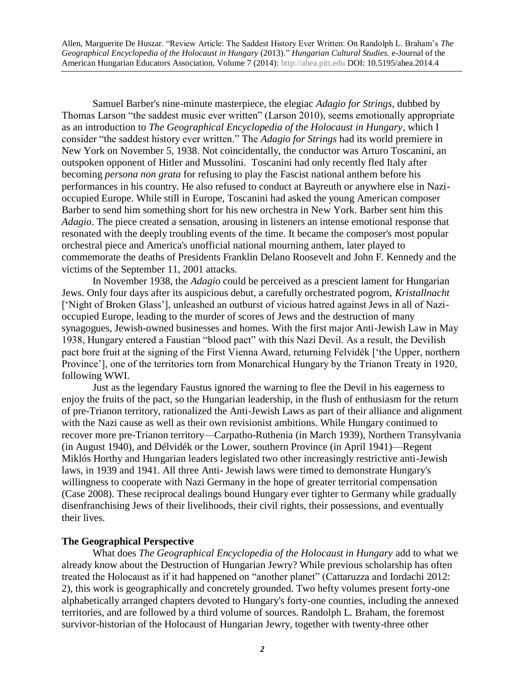Samuel Barber's nine-minute masterpiece, the elegiac *Adagio for Strings*, dubbed by Thomas Larson "the saddest music ever written" (Larson 2010), seems emotionally appropriate as an introduction to *The Geographical Encyclopedia of the Holocaust in Hungary*, which I consider "the saddest history ever written." The *Adagio for Strings* had its world premiere in New York on November 5, 1938. Not coincidentally, the conductor was Arturo Toscanini, an outspoken opponent of Hitler and Mussolini. Toscanini had only recently fled Italy after becoming *persona non grata* for refusing to play the Fascist national anthem before his performances in his country. He also refused to conduct at Bayreuth or anywhere else in Nazioccupied Europe. While still in Europe, Toscanini had asked the young American composer Barber to send him something short for his new orchestra in New York. Barber sent him this *Adagio*. The piece created a sensation, arousing in listeners an intense emotional response that resonated with the deeply troubling events of the time. It became the composer's most popular orchestral piece and America's unofficial national mourning anthem, later played to commemorate the deaths of Presidents Franklin Delano Roosevelt and John F. Kennedy and the victims of the September 11, 2001 attacks.

In November 1938, the *Adagio* could be perceived as a prescient lament for Hungarian Jews. Only four days after its auspicious debut, a carefully orchestrated pogrom, *Kristallnacht*  ['Night of Broken Glass'], unleashed an outburst of vicious hatred against Jews in all of Nazioccupied Europe, leading to the murder of scores of Jews and the destruction of many synagogues, Jewish-owned businesses and homes. With the first major Anti-Jewish Law in May 1938, Hungary entered a Faustian "blood pact" with this Nazi Devil. As a result, the Devilish pact bore fruit at the signing of the First Vienna Award, returning Felvidék ['the Upper, northern Province'], one of the territories torn from Monarchical Hungary by the Trianon Treaty in 1920, following WWI.

Just as the legendary Faustus ignored the warning to flee the Devil in his eagerness to enjoy the fruits of the pact, so the Hungarian leadership, in the flush of enthusiasm for the return of pre-Trianon territory, rationalized the Anti-Jewish Laws as part of their alliance and alignment with the Nazi cause as well as their own revisionist ambitions. While Hungary continued to recover more pre-Trianon territory—Carpatho-Ruthenia (in March 1939), Northern Transylvania (in August 1940), and Délvidék or the Lower, southern Province (in April 1941)—Regent Miklós Horthy and Hungarian leaders legislated two other increasingly restrictive anti-Jewish laws, in 1939 and 1941. All three Anti- Jewish laws were timed to demonstrate Hungary's willingness to cooperate with Nazi Germany in the hope of greater territorial compensation (Case 2008). These reciprocal dealings bound Hungary ever tighter to Germany while gradually disenfranchising Jews of their livelihoods, their civil rights, their possessions, and eventually their lives.

#### **The Geographical Perspective**

What does *The Geographical Encyclopedia of the Holocaust in Hungary* add to what we already know about the Destruction of Hungarian Jewry? While previous scholarship has often treated the Holocaust as if it had happened on "another planet" (Cattaruzza and Iordachi 2012: 2), this work is geographically and concretely grounded. Two hefty volumes present forty-one alphabetically arranged chapters devoted to Hungary's forty-one counties, including the annexed territories, and are followed by a third volume of sources. Randolph L. Braham, the foremost survivor-historian of the Holocaust of Hungarian Jewry, together with twenty-three other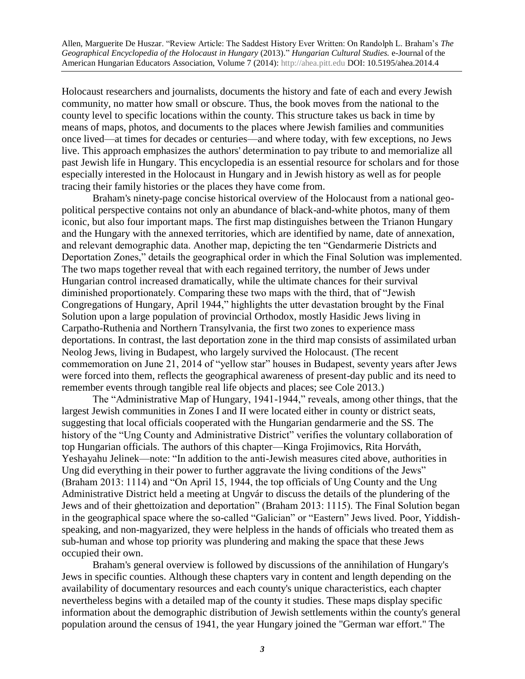Holocaust researchers and journalists, documents the history and fate of each and every Jewish community, no matter how small or obscure. Thus, the book moves from the national to the county level to specific locations within the county. This structure takes us back in time by means of maps, photos, and documents to the places where Jewish families and communities once lived—at times for decades or centuries—and where today, with few exceptions, no Jews live. This approach emphasizes the authors' determination to pay tribute to and memorialize all past Jewish life in Hungary. This encyclopedia is an essential resource for scholars and for those especially interested in the Holocaust in Hungary and in Jewish history as well as for people tracing their family histories or the places they have come from.

Braham's ninety-page concise historical overview of the Holocaust from a national geopolitical perspective contains not only an abundance of black-and-white photos, many of them iconic, but also four important maps. The first map distinguishes between the Trianon Hungary and the Hungary with the annexed territories, which are identified by name, date of annexation, and relevant demographic data. Another map, depicting the ten "Gendarmerie Districts and Deportation Zones," details the geographical order in which the Final Solution was implemented. The two maps together reveal that with each regained territory, the number of Jews under Hungarian control increased dramatically, while the ultimate chances for their survival diminished proportionately. Comparing these two maps with the third, that of "Jewish Congregations of Hungary, April 1944," highlights the utter devastation brought by the Final Solution upon a large population of provincial Orthodox, mostly Hasidic Jews living in Carpatho-Ruthenia and Northern Transylvania, the first two zones to experience mass deportations. In contrast, the last deportation zone in the third map consists of assimilated urban Neolog Jews, living in Budapest, who largely survived the Holocaust. (The recent commemoration on June 21, 2014 of "yellow star" houses in Budapest, seventy years after Jews were forced into them, reflects the geographical awareness of present-day public and its need to remember events through tangible real life objects and places; see Cole 2013*.*)

The "Administrative Map of Hungary, 1941-1944," reveals, among other things, that the largest Jewish communities in Zones I and II were located either in county or district seats, suggesting that local officials cooperated with the Hungarian gendarmerie and the SS. The history of the "Ung County and Administrative District" verifies the voluntary collaboration of top Hungarian officials. The authors of this chapter—Kinga Frojimovics, Rita Horváth, Yeshayahu Jelinek—note: "In addition to the anti-Jewish measures cited above, authorities in Ung did everything in their power to further aggravate the living conditions of the Jews" (Braham 2013: 1114) and "On April 15, 1944, the top officials of Ung County and the Ung Administrative District held a meeting at Ungvár to discuss the details of the plundering of the Jews and of their ghettoization and deportation" (Braham 2013: 1115). The Final Solution began in the geographical space where the so-called "Galician" or "Eastern" Jews lived. Poor, Yiddishspeaking, and non-magyarized, they were helpless in the hands of officials who treated them as sub-human and whose top priority was plundering and making the space that these Jews occupied their own.

Braham's general overview is followed by discussions of the annihilation of Hungary's Jews in specific counties. Although these chapters vary in content and length depending on the availability of documentary resources and each county's unique characteristics, each chapter nevertheless begins with a detailed map of the county it studies. These maps display specific information about the demographic distribution of Jewish settlements within the county's general population around the census of 1941, the year Hungary joined the "German war effort." The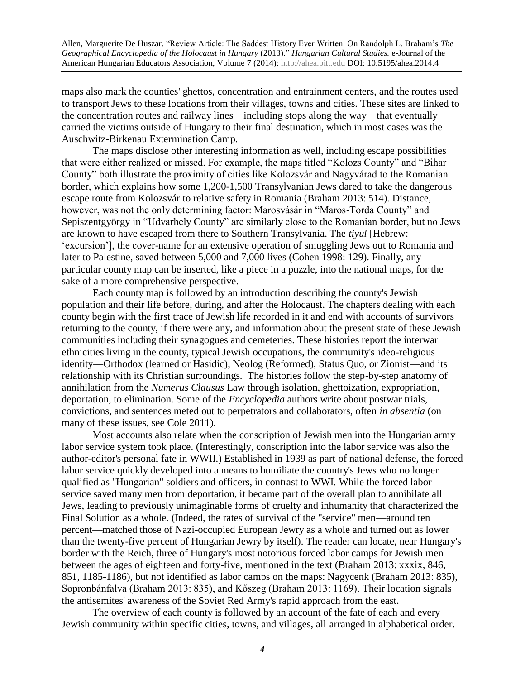maps also mark the counties' ghettos, concentration and entrainment centers, and the routes used to transport Jews to these locations from their villages, towns and cities. These sites are linked to the concentration routes and railway lines—including stops along the way—that eventually carried the victims outside of Hungary to their final destination, which in most cases was the Auschwitz-Birkenau Extermination Camp.

The maps disclose other interesting information as well, including escape possibilities that were either realized or missed. For example, the maps titled "Kolozs County" and "Bihar County" both illustrate the proximity of cities like Kolozsvár and Nagyvárad to the Romanian border, which explains how some 1,200-1,500 Transylvanian Jews dared to take the dangerous escape route from Kolozsvár to relative safety in Romania (Braham 2013: 514). Distance, however, was not the only determining factor: Marosvásár in "Maros-Torda County" and Sepiszentgyörgy in "Udvarhely County" are similarly close to the Romanian border, but no Jews are known to have escaped from there to Southern Transylvania. The *tiyul* [Hebrew: 'excursion'], the cover-name for an extensive operation of smuggling Jews out to Romania and later to Palestine, saved between 5,000 and 7,000 lives (Cohen 1998: 129). Finally, any particular county map can be inserted, like a piece in a puzzle, into the national maps, for the sake of a more comprehensive perspective.

Each county map is followed by an introduction describing the county's Jewish population and their life before, during, and after the Holocaust. The chapters dealing with each county begin with the first trace of Jewish life recorded in it and end with accounts of survivors returning to the county, if there were any, and information about the present state of these Jewish communities including their synagogues and cemeteries. These histories report the interwar ethnicities living in the county, typical Jewish occupations, the community's ideo-religious identity—Orthodox (learned or Hasidic), Neolog (Reformed), Status Quo, or Zionist—and its relationship with its Christian surroundings. The histories follow the step-by-step anatomy of annihilation from the *Numerus Clausus* Law through isolation, ghettoization, expropriation, deportation, to elimination. Some of the *Encyclopedia* authors write about postwar trials, convictions, and sentences meted out to perpetrators and collaborators, often *in absentia* (on many of these issues, see Cole 2011).

Most accounts also relate when the conscription of Jewish men into the Hungarian army labor service system took place. (Interestingly, conscription into the labor service was also the author-editor's personal fate in WWII.) Established in 1939 as part of national defense, the forced labor service quickly developed into a means to humiliate the country's Jews who no longer qualified as "Hungarian" soldiers and officers, in contrast to WWI. While the forced labor service saved many men from deportation, it became part of the overall plan to annihilate all Jews, leading to previously unimaginable forms of cruelty and inhumanity that characterized the Final Solution as a whole. (Indeed, the rates of survival of the "service" men—around ten percent—matched those of Nazi-occupied European Jewry as a whole and turned out as lower than the twenty-five percent of Hungarian Jewry by itself). The reader can locate, near Hungary's border with the Reich, three of Hungary's most notorious forced labor camps for Jewish men between the ages of eighteen and forty-five, mentioned in the text (Braham 2013: xxxix, 846, 851, 1185-1186), but not identified as labor camps on the maps: Nagycenk (Braham 2013: 835), Sopronbánfalva (Braham 2013: 835), and Kőszeg (Braham 2013: 1169). Their location signals the antisemites' awareness of the Soviet Red Army's rapid approach from the east.

The overview of each county is followed by an account of the fate of each and every Jewish community within specific cities, towns, and villages, all arranged in alphabetical order.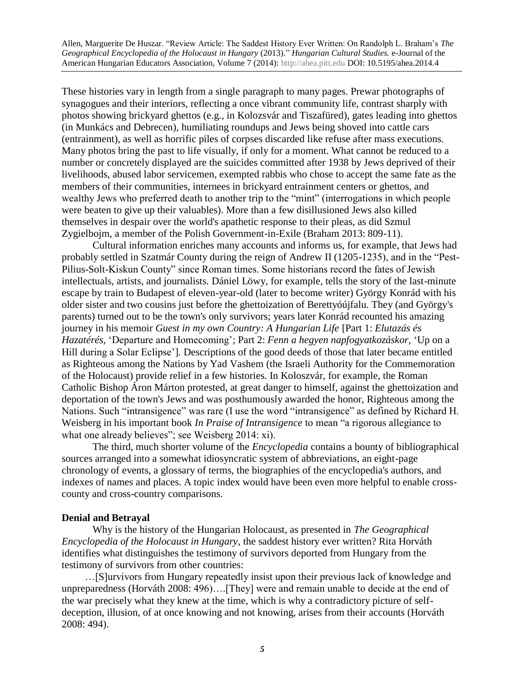These histories vary in length from a single paragraph to many pages. Prewar photographs of synagogues and their interiors, reflecting a once vibrant community life, contrast sharply with photos showing brickyard ghettos (e.g., in Kolozsvár and Tiszafüred), gates leading into ghettos (in Munkács and Debrecen), humiliating roundups and Jews being shoved into cattle cars (entrainment), as well as horrific piles of corpses discarded like refuse after mass executions. Many photos bring the past to life visually, if only for a moment. What cannot be reduced to a number or concretely displayed are the suicides committed after 1938 by Jews deprived of their livelihoods, abused labor servicemen, exempted rabbis who chose to accept the same fate as the members of their communities, internees in brickyard entrainment centers or ghettos, and wealthy Jews who preferred death to another trip to the "mint" (interrogations in which people were beaten to give up their valuables). More than a few disillusioned Jews also killed themselves in despair over the world's apathetic response to their pleas, as did Szmul Zygielbojm, a member of the Polish Government-in-Exile (Braham 2013: 809-11).

Cultural information enriches many accounts and informs us, for example, that Jews had probably settled in Szatmár County during the reign of Andrew II (1205-1235), and in the "Pest-Pilius-Solt-Kiskun County" since Roman times. Some historians record the fates of Jewish intellectuals, artists, and journalists. Dániel Löwy, for example, tells the story of the last-minute escape by train to Budapest of eleven-year-old (later to become writer) György Konrád with his older sister and two cousins just before the ghettoization of Berettyóújfalu. They (and György's parents) turned out to be the town's only survivors; years later Konrád recounted his amazing journey in his memoir *Guest in my own Country: A Hungarian Life* [Part 1: *Elutazás és Hazatérés,* 'Departure and Homecoming'; Part 2: *Fenn a hegyen napfogyatkozáskor,* 'Up on a Hill during a Solar Eclipse']*.* Descriptions of the good deeds of those that later became entitled as Righteous among the Nations by Yad Vashem (the Israeli Authority for the Commemoration of the Holocaust) provide relief in a few histories. In Koloszvár, for example, the Roman Catholic Bishop Áron Márton protested, at great danger to himself, against the ghettoization and deportation of the town's Jews and was posthumously awarded the honor, Righteous among the Nations. Such "intransigence" was rare (I use the word "intransigence" as defined by Richard H. Weisberg in his important book *In Praise of Intransigence* to mean "a rigorous allegiance to what one already believes"; see Weisberg 2014: xi).

The third, much shorter volume of the *Encyclopedia* contains a bounty of bibliographical sources arranged into a somewhat idiosyncratic system of abbreviations, an eight-page chronology of events, a glossary of terms, the biographies of the encyclopedia's authors, and indexes of names and places. A topic index would have been even more helpful to enable crosscounty and cross-country comparisons.

#### **Denial and Betrayal**

Why is the history of the Hungarian Holocaust, as presented in *The Geographical Encyclopedia of the Holocaust in Hungary*, the saddest history ever written? Rita Horváth identifies what distinguishes the testimony of survivors deported from Hungary from the testimony of survivors from other countries:

 …[S]urvivors from Hungary repeatedly insist upon their previous lack of knowledge and unpreparedness (Horváth 2008: 496)….[They] were and remain unable to decide at the end of the war precisely what they knew at the time, which is why a contradictory picture of selfdeception, illusion, of at once knowing and not knowing, arises from their accounts (Horváth 2008: 494).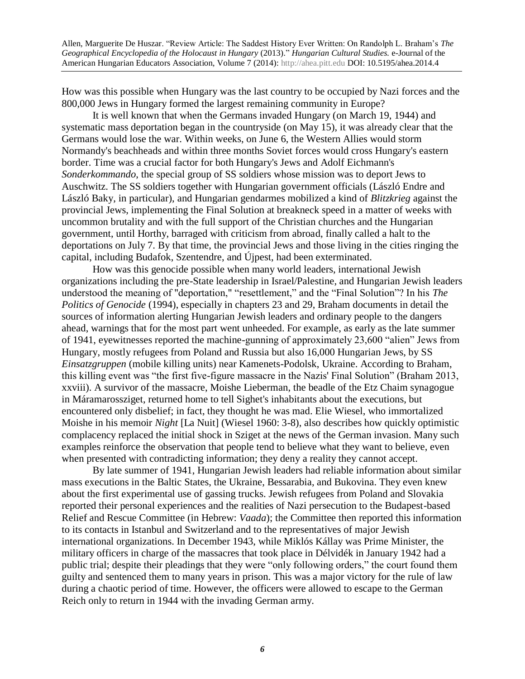How was this possible when Hungary was the last country to be occupied by Nazi forces and the 800,000 Jews in Hungary formed the largest remaining community in Europe?

It is well known that when the Germans invaded Hungary (on March 19, 1944) and systematic mass deportation began in the countryside (on May 15), it was already clear that the Germans would lose the war. Within weeks, on June 6, the Western Allies would storm Normandy's beachheads and within three months Soviet forces would cross Hungary's eastern border. Time was a crucial factor for both Hungary's Jews and Adolf Eichmann's *Sonderkommando*, the special group of SS soldiers whose mission was to deport Jews to Auschwitz. The SS soldiers together with Hungarian government officials (László Endre and László Baky, in particular), and Hungarian gendarmes mobilized a kind of *Blitzkrieg* against the provincial Jews, implementing the Final Solution at breakneck speed in a matter of weeks with uncommon brutality and with the full support of the Christian churches and the Hungarian government, until Horthy, barraged with criticism from abroad, finally called a halt to the deportations on July 7. By that time, the provincial Jews and those living in the cities ringing the capital, including Budafok, Szentendre, and Újpest, had been exterminated.

How was this genocide possible when many world leaders, international Jewish organizations including the pre-State leadership in Israel/Palestine, and Hungarian Jewish leaders understood the meaning of "deportation," "resettlement," and the "Final Solution"? In his *The Politics of Genocide* (1994), especially in chapters 23 and 29, Braham documents in detail the sources of information alerting Hungarian Jewish leaders and ordinary people to the dangers ahead, warnings that for the most part went unheeded. For example, as early as the late summer of 1941, eyewitnesses reported the machine-gunning of approximately 23,600 "alien" Jews from Hungary, mostly refugees from Poland and Russia but also 16,000 Hungarian Jews, by SS *Einsatzgruppen* (mobile killing units) near Kamenets-Podolsk, Ukraine. According to Braham, this killing event was "the first five-figure massacre in the Nazis' Final Solution" (Braham 2013, xxviii). A survivor of the massacre, Moishe Lieberman, the beadle of the Etz Chaim synagogue in Máramarossziget, returned home to tell Sighet's inhabitants about the executions, but encountered only disbelief; in fact, they thought he was mad. Elie Wiesel, who immortalized Moishe in his memoir *Night* [La Nuit] (Wiesel 1960: 3-8), also describes how quickly optimistic complacency replaced the initial shock in Sziget at the news of the German invasion. Many such examples reinforce the observation that people tend to believe what they want to believe, even when presented with contradicting information; they deny a reality they cannot accept.

By late summer of 1941, Hungarian Jewish leaders had reliable information about similar mass executions in the Baltic States, the Ukraine, Bessarabia, and Bukovina. They even knew about the first experimental use of gassing trucks. Jewish refugees from Poland and Slovakia reported their personal experiences and the realities of Nazi persecution to the Budapest-based Relief and Rescue Committee (in Hebrew: *Vaada*); the Committee then reported this information to its contacts in Istanbul and Switzerland and to the representatives of major Jewish international organizations. In December 1943, while Miklós Kállay was Prime Minister, the military officers in charge of the massacres that took place in Délvidék in January 1942 had a public trial; despite their pleadings that they were "only following orders," the court found them guilty and sentenced them to many years in prison. This was a major victory for the rule of law during a chaotic period of time. However, the officers were allowed to escape to the German Reich only to return in 1944 with the invading German army.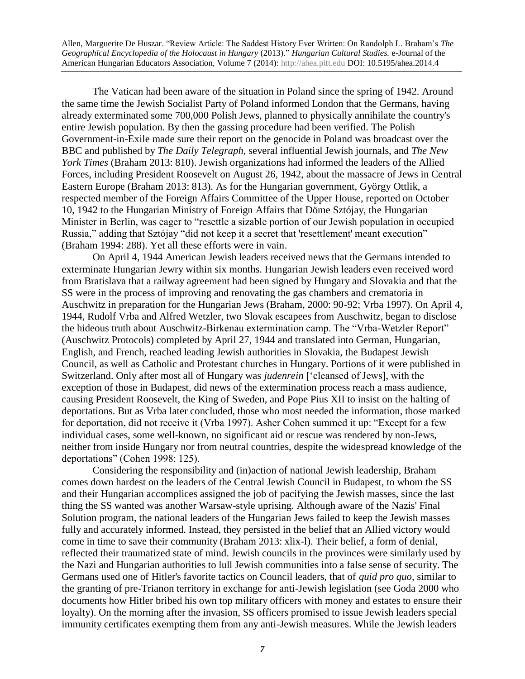The Vatican had been aware of the situation in Poland since the spring of 1942. Around the same time the Jewish Socialist Party of Poland informed London that the Germans, having already exterminated some 700,000 Polish Jews, planned to physically annihilate the country's entire Jewish population. By then the gassing procedure had been verified. The Polish Government-in-Exile made sure their report on the genocide in Poland was broadcast over the BBC and published by *The Daily Telegraph,* several influential Jewish journals, and *The New York Times* (Braham 2013: 810). Jewish organizations had informed the leaders of the Allied Forces, including President Roosevelt on August 26, 1942, about the massacre of Jews in Central Eastern Europe (Braham 2013: 813). As for the Hungarian government, György Ottlik, a respected member of the Foreign Affairs Committee of the Upper House, reported on October 10, 1942 to the Hungarian Ministry of Foreign Affairs that Döme Sztójay, the Hungarian Minister in Berlin, was eager to "resettle a sizable portion of our Jewish population in occupied Russia," adding that Sztójay "did not keep it a secret that 'resettlement' meant execution" (Braham 1994: 288). Yet all these efforts were in vain.

On April 4, 1944 American Jewish leaders received news that the Germans intended to exterminate Hungarian Jewry within six months. Hungarian Jewish leaders even received word from Bratislava that a railway agreement had been signed by Hungary and Slovakia and that the SS were in the process of improving and renovating the gas chambers and crematoria in Auschwitz in preparation for the Hungarian Jews (Braham, 2000: 90-92; Vrba 1997). On April 4, 1944, Rudolf Vrba and Alfred Wetzler, two Slovak escapees from Auschwitz, began to disclose the hideous truth about Auschwitz-Birkenau extermination camp. The "Vrba-Wetzler Report" (Auschwitz Protocols) completed by April 27, 1944 and translated into German, Hungarian, English, and French, reached leading Jewish authorities in Slovakia, the Budapest Jewish Council, as well as Catholic and Protestant churches in Hungary. Portions of it were published in Switzerland. Only after most all of Hungary was *judenrein* ['cleansed of Jews], with the exception of those in Budapest, did news of the extermination process reach a mass audience, causing President Roosevelt, the King of Sweden, and Pope Pius XII to insist on the halting of deportations. But as Vrba later concluded, those who most needed the information, those marked for deportation, did not receive it (Vrba 1997). Asher Cohen summed it up: "Except for a few individual cases, some well-known, no significant aid or rescue was rendered by non-Jews, neither from inside Hungary nor from neutral countries, despite the widespread knowledge of the deportations" (Cohen 1998: 125).

Considering the responsibility and (in)action of national Jewish leadership, Braham comes down hardest on the leaders of the Central Jewish Council in Budapest, to whom the SS and their Hungarian accomplices assigned the job of pacifying the Jewish masses, since the last thing the SS wanted was another Warsaw-style uprising. Although aware of the Nazis' Final Solution program, the national leaders of the Hungarian Jews failed to keep the Jewish masses fully and accurately informed. Instead, they persisted in the belief that an Allied victory would come in time to save their community (Braham 2013: xlix-l). Their belief, a form of denial, reflected their traumatized state of mind. Jewish councils in the provinces were similarly used by the Nazi and Hungarian authorities to lull Jewish communities into a false sense of security. The Germans used one of Hitler's favorite tactics on Council leaders, that of *quid pro quo,* similar to the granting of pre-Trianon territory in exchange for anti-Jewish legislation (see Goda 2000 who documents how Hitler bribed his own top military officers with money and estates to ensure their loyalty). On the morning after the invasion, SS officers promised to issue Jewish leaders special immunity certificates exempting them from any anti-Jewish measures. While the Jewish leaders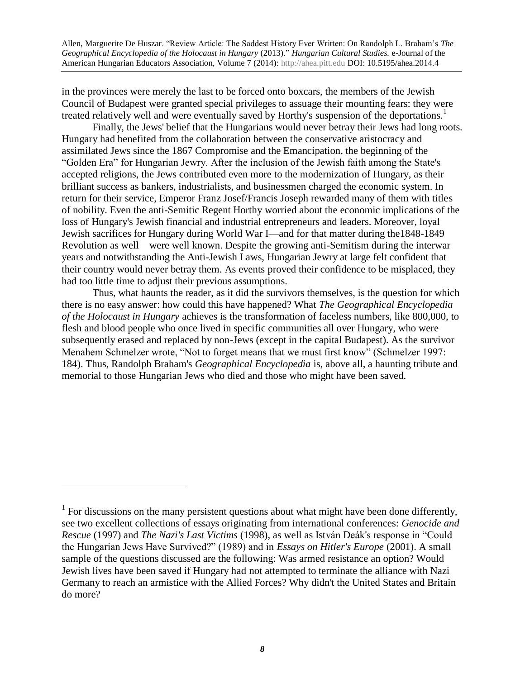in the provinces were merely the last to be forced onto boxcars, the members of the Jewish Council of Budapest were granted special privileges to assuage their mounting fears: they were treated relatively well and were eventually saved by Horthy's suspension of the deportations.<sup>1</sup>

Finally, the Jews' belief that the Hungarians would never betray their Jews had long roots. Hungary had benefited from the collaboration between the conservative aristocracy and assimilated Jews since the 1867 Compromise and the Emancipation, the beginning of the "Golden Era" for Hungarian Jewry. After the inclusion of the Jewish faith among the State's accepted religions, the Jews contributed even more to the modernization of Hungary, as their brilliant success as bankers, industrialists, and businessmen charged the economic system. In return for their service, Emperor Franz Josef/Francis Joseph rewarded many of them with titles of nobility. Even the anti-Semitic Regent Horthy worried about the economic implications of the loss of Hungary's Jewish financial and industrial entrepreneurs and leaders. Moreover, loyal Jewish sacrifices for Hungary during World War I—and for that matter during the1848-1849 Revolution as well—were well known. Despite the growing anti-Semitism during the interwar years and notwithstanding the Anti-Jewish Laws, Hungarian Jewry at large felt confident that their country would never betray them. As events proved their confidence to be misplaced, they had too little time to adjust their previous assumptions.

Thus, what haunts the reader, as it did the survivors themselves, is the question for which there is no easy answer: how could this have happened? What *The Geographical Encyclopedia of the Holocaust in Hungary* achieves is the transformation of faceless numbers, like 800,000, to flesh and blood people who once lived in specific communities all over Hungary, who were subsequently erased and replaced by non-Jews (except in the capital Budapest). As the survivor Menahem Schmelzer wrote, "Not to forget means that we must first know" (Schmelzer 1997: 184). Thus, Randolph Braham's *Geographical Encyclopedia* is, above all, a haunting tribute and memorial to those Hungarian Jews who died and those who might have been saved.

 $\overline{a}$ 

 $<sup>1</sup>$  For discussions on the many persistent questions about what might have been done differently,</sup> see two excellent collections of essays originating from international conferences: *Genocide and Rescue* (1997) and *The Nazi's Last Victims* (1998), as well as István Deák's response in "Could the Hungarian Jews Have Survived?" (1989) and in *Essays on Hitler's Europe* (2001). A small sample of the questions discussed are the following: Was armed resistance an option? Would Jewish lives have been saved if Hungary had not attempted to terminate the alliance with Nazi Germany to reach an armistice with the Allied Forces? Why didn't the United States and Britain do more?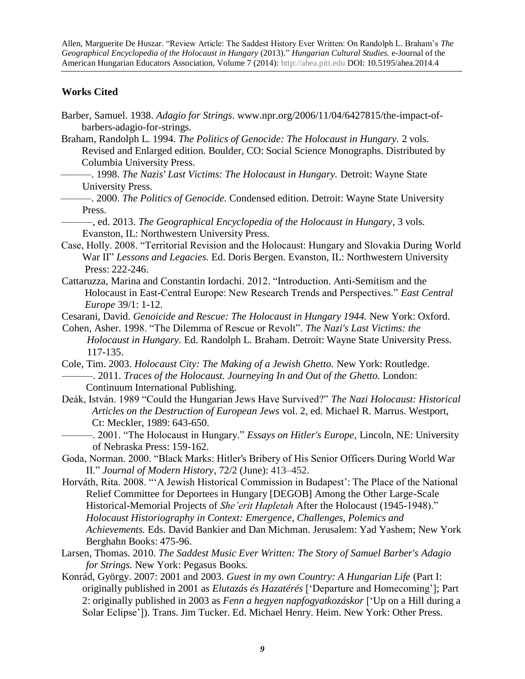### **Works Cited**

- Barber, Samuel. 1938. *Adagio for Strings*. www.npr.org/2006/11/04/6427815/the-impact-of barbers-adagio-for-strings.
- Braham, Randolph L. 1994. *The Politics of Genocide: The Holocaust in Hungary.* 2 vols. Revised and Enlarged edition. Boulder, CO: Social Science Monographs. Distributed by Columbia University Press.
	- ———. 1998. *The Nazis' Last Victims: The Holocaust in Hungary.* Detroit: Wayne State University Press.
- ———. 2000. *The Politics of Genocide.* Condensed edition. Detroit: Wayne State University Press.

———, ed. 2013. *The Geographical Encyclopedia of the Holocaust in Hungary,* 3 vols. Evanston, IL: Northwestern University Press.

- Case, Holly. 2008. "Territorial Revision and the Holocaust: Hungary and Slovakia During World War II" *Lessons and Legacies.* Ed. Doris Bergen. Evanston, IL: Northwestern University Press: 222-246.
- Cattaruzza, Marina and Constantin Iordachi. 2012. "Introduction. Anti-Semitism and the Holocaust in East-Central Europe: New Research Trends and Perspectives." *East Central Europe* 39/1: 1-12.

Cesarani, David. *Genoicide and Rescue: The Holocaust in Hungary 1944.* New York: Oxford.

Cohen, Asher. 1998. "The Dilemma of Rescue or Revolt". *The Nazi's Last Victims: the Holocaust in Hungary.* Ed. Randolph L. Braham. Detroit: Wayne State University Press. 117-135.

Cole, Tim. 2003. *Holocaust City: The Making of a Jewish Ghetto.* New York: Routledge. ———. 2011. *Traces of the Holocaust. Journeying In and Out of the Ghetto.* London: Continuum International Publishing.

- Deák, István. 1989 "Could the Hungarian Jews Have Survived?" *The Nazi Holocaust: Historical Articles on the Destruction of European Jews* vol. 2, ed. Michael R. Marrus. Westport, Ct: Meckler, 1989: 643-650.
- ———. 2001. "The Holocaust in Hungary." *Essays on Hitler's Europe,* Lincoln, NE: University of Nebraska Press: 159-162.

Goda, Norman. 2000. "Black Marks: Hitler's Bribery of His Senior Officers During World War II." *Journal of Modern History*, 72/2 (June): 413–452.

- Horváth, Rita. 2008. "'A Jewish Historical Commission in Budapest': The Place of the National Relief Committee for Deportees in Hungary [DEGOB] Among the Other Large-Scale Historical-Memorial Projects of *She'erit Hapletah* After the Holocaust (1945-1948)." *Holocaust Historiography in Context: Emergence, Challenges, Polemics and Achievements.* Eds. David Bankier and Dan Michman. Jerusalem: Yad Yashem; New York Berghahn Books: 475-96.
- Larsen, Thomas. 2010. *The Saddest Music Ever Written: The Story of Samuel Barber's Adagio for Strings.* New York: Pegasus Books*.*
- Konrád, György. 2007: 2001 and 2003. *Guest in my own Country: A Hungarian Life* (Part I: originally published in 2001 as *Elutazás és Hazatérés* ['Departure and Homecoming']; Part 2: originally published in 2003 as *Fenn a hegyen napfogyatkozáskor* ['Up on a Hill during a Solar Eclipse']). Trans. Jim Tucker. Ed. Michael Henry. Heim. New York: Other Press.